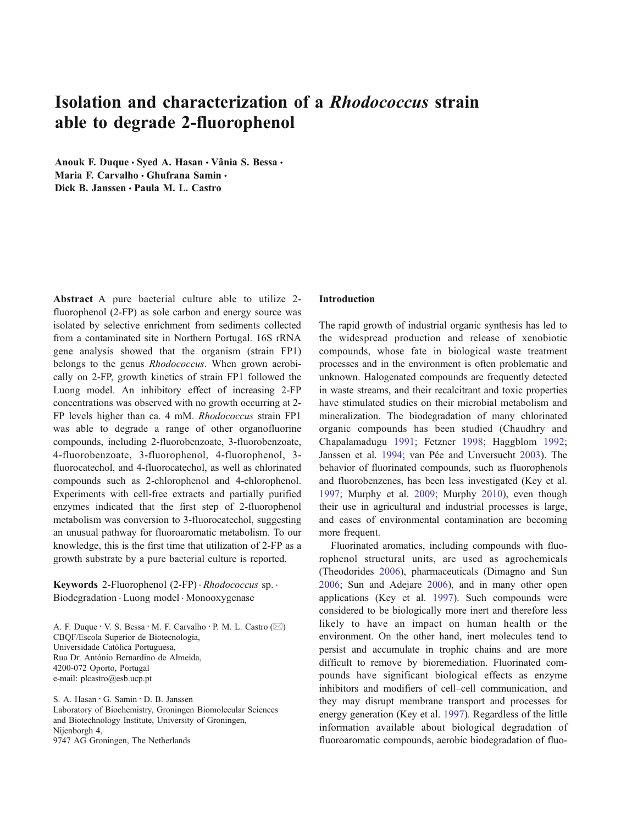# Isolation and characterization of a Rhodococcus strain able to degrade 2-fluorophenol

Anouk F. Duque · Sved A. Hasan · Vânia S. Bessa · Maria F. Carvalho · Ghufrana Samin · Dick B. Janssen & Paula M. L. Castro

Abstract A pure bacterial culture able to utilize 2 fluorophenol (2-FP) as sole carbon and energy source was isolated by selective enrichment from sediments collected from a contaminated site in Northern Portugal. 16S rRNA gene analysis showed that the organism (strain FP1) belongs to the genus *Rhodococcus*. When grown aerobically on 2-FP, growth kinetics of strain FP1 followed the Luong model. An inhibitory effect of increasing 2-FP concentrations was observed with no growth occurring at 2- FP levels higher than ca. 4 mM. Rhodococcus strain FP1 was able to degrade a range of other organofluorine compounds, including 2-fluorobenzoate, 3-fluorobenzoate, 4-fluorobenzoate, 3-fluorophenol, 4-fluorophenol, 3 fluorocatechol, and 4-fluorocatechol, as well as chlorinated compounds such as 2-chlorophenol and 4-chlorophenol. Experiments with cell-free extracts and partially purified enzymes indicated that the first step of 2-fluorophenol metabolism was conversion to 3-fluorocatechol, suggesting an unusual pathway for fluoroaromatic metabolism. To our knowledge, this is the first time that utilization of 2-FP as a growth substrate by a pure bacterial culture is reported.

Keywords 2-Fluorophenol  $(2-FP)$   $Rhodococcus$  sp.  $\cdot$ Biodegradation . Luong model . Monooxygenase

A. F. Duque  $\cdot$  V. S. Bessa  $\cdot$  M. F. Carvalho  $\cdot$  P. M. L. Castro ( $\boxtimes$ ) CBQF/Escola Superior de Biotecnologia, Universidade Católica Portuguesa, Rua Dr. António Bernardino de Almeida, 4200-072 Oporto, Portugal e-mail: plcastro@esb.ucp.pt

S. A. Hasan : G. Samin : D. B. Janssen Laboratory of Biochemistry, Groningen Biomolecular Sciences and Biotechnology Institute, University of Groningen, Nijenborgh 4, 9747 AG Groningen, The Netherlands

#### Introduction

The rapid growth of industrial organic synthesis has led to the widespread production and release of xenobiotic compounds, whose fate in biological waste treatment processes and in the environment is often problematic and unknown. Halogenated compounds are frequently detected in waste streams, and their recalcitrant and toxic properties have stimulated studies on their microbial metabolism and mineralization. The biodegradation of many chlorinated organic compounds has been studied (Chaudhry and Chapalamadugu [1991;](#page-7-0) Fetzner [1998;](#page-8-0) Haggblom [1992;](#page-8-0) Janssen et al. [1994;](#page-8-0) van Pée and Unversucht [2003\)](#page-9-0). The behavior of fluorinated compounds, such as fluorophenols and fluorobenzenes, has been less investigated (Key et al. [1997](#page-8-0); Murphy et al. [2009](#page-8-0); Murphy [2010](#page-8-0)), even though their use in agricultural and industrial processes is large, and cases of environmental contamination are becoming more frequent.

Fluorinated aromatics, including compounds with fluorophenol structural units, are used as agrochemicals (Theodorides [2006\)](#page-9-0), pharmaceuticals (Dimagno and Sun [2006](#page-7-0); Sun and Adejare [2006\)](#page-8-0), and in many other open applications (Key et al. [1997](#page-8-0)). Such compounds were considered to be biologically more inert and therefore less likely to have an impact on human health or the environment. On the other hand, inert molecules tend to persist and accumulate in trophic chains and are more difficult to remove by bioremediation. Fluorinated compounds have significant biological effects as enzyme inhibitors and modifiers of cell–cell communication, and they may disrupt membrane transport and processes for energy generation (Key et al. [1997](#page-8-0)). Regardless of the little information available about biological degradation of fluoroaromatic compounds, aerobic biodegradation of fluo-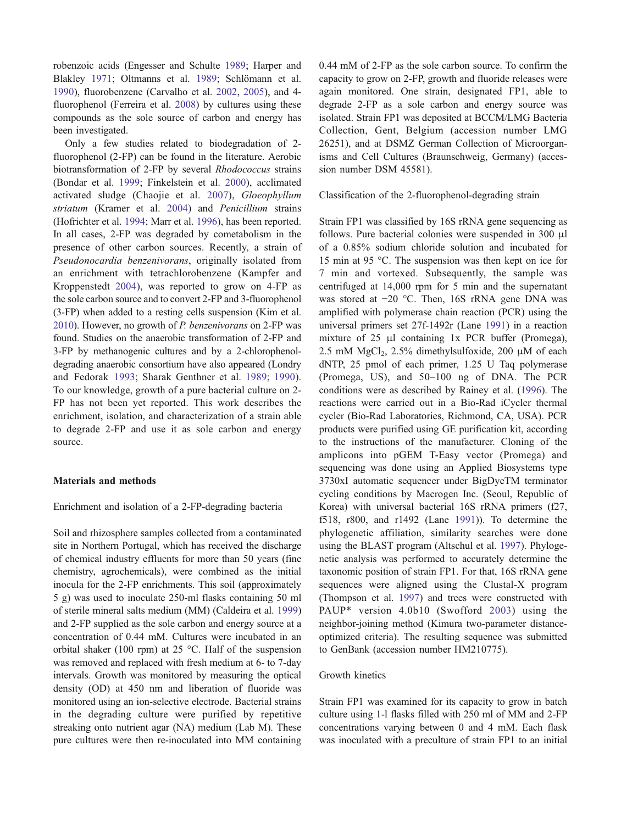robenzoic acids (Engesser and Schulte [1989;](#page-8-0) Harper and Blakley [1971](#page-8-0); Oltmanns et al. [1989](#page-8-0); Schlömann et al. [1990\)](#page-8-0), fluorobenzene (Carvalho et al. [2002,](#page-7-0) [2005\)](#page-7-0), and 4 fluorophenol (Ferreira et al. [2008\)](#page-8-0) by cultures using these compounds as the sole source of carbon and energy has been investigated.

Only a few studies related to biodegradation of 2 fluorophenol (2-FP) can be found in the literature. Aerobic biotransformation of 2-FP by several Rhodococcus strains (Bondar et al. [1999](#page-7-0); Finkelstein et al. [2000](#page-8-0)), acclimated activated sludge (Chaojie et al. [2007](#page-7-0)), Gloeophyllum striatum (Kramer et al. [2004](#page-8-0)) and Penicillium strains (Hofrichter et al. [1994](#page-8-0); Marr et al. [1996\)](#page-8-0), has been reported. In all cases, 2-FP was degraded by cometabolism in the presence of other carbon sources. Recently, a strain of Pseudonocardia benzenivorans, originally isolated from an enrichment with tetrachlorobenzene (Kampfer and Kroppenstedt [2004](#page-8-0)), was reported to grow on 4-FP as the sole carbon source and to convert 2-FP and 3-fluorophenol (3-FP) when added to a resting cells suspension (Kim et al. [2010\)](#page-8-0). However, no growth of P. benzenivorans on 2-FP was found. Studies on the anaerobic transformation of 2-FP and 3-FP by methanogenic cultures and by a 2-chlorophenoldegrading anaerobic consortium have also appeared (Londry and Fedorak [1993;](#page-8-0) Sharak Genthner et al. [1989](#page-8-0); [1990](#page-8-0)). To our knowledge, growth of a pure bacterial culture on 2- FP has not been yet reported. This work describes the enrichment, isolation, and characterization of a strain able to degrade 2-FP and use it as sole carbon and energy source.

## Materials and methods

Enrichment and isolation of a 2-FP-degrading bacteria

Soil and rhizosphere samples collected from a contaminated site in Northern Portugal, which has received the discharge of chemical industry effluents for more than 50 years (fine chemistry, agrochemicals), were combined as the initial inocula for the 2-FP enrichments. This soil (approximately 5 g) was used to inoculate 250-ml flasks containing 50 ml of sterile mineral salts medium (MM) (Caldeira et al. [1999\)](#page-7-0) and 2-FP supplied as the sole carbon and energy source at a concentration of 0.44 mM. Cultures were incubated in an orbital shaker (100 rpm) at 25 °C. Half of the suspension was removed and replaced with fresh medium at 6- to 7-day intervals. Growth was monitored by measuring the optical density (OD) at 450 nm and liberation of fluoride was monitored using an ion-selective electrode. Bacterial strains in the degrading culture were purified by repetitive streaking onto nutrient agar (NA) medium (Lab M). These pure cultures were then re-inoculated into MM containing 0.44 mM of 2-FP as the sole carbon source. To confirm the capacity to grow on 2-FP, growth and fluoride releases were again monitored. One strain, designated FP1, able to degrade 2-FP as a sole carbon and energy source was isolated. Strain FP1 was deposited at BCCM/LMG Bacteria Collection, Gent, Belgium (accession number LMG 26251), and at DSMZ German Collection of Microorganisms and Cell Cultures (Braunschweig, Germany) (accession number DSM 45581).

#### Classification of the 2-fluorophenol-degrading strain

Strain FP1 was classified by 16S rRNA gene sequencing as follows. Pure bacterial colonies were suspended in 300 μl of a 0.85% sodium chloride solution and incubated for 15 min at 95 °C. The suspension was then kept on ice for 7 min and vortexed. Subsequently, the sample was centrifuged at 14,000 rpm for 5 min and the supernatant was stored at −20 °C. Then, 16S rRNA gene DNA was amplified with polymerase chain reaction (PCR) using the universal primers set 27f-1492r (Lane [1991](#page-8-0)) in a reaction mixture of 25 μl containing 1x PCR buffer (Promega), 2.5 mM  $MgCl<sub>2</sub>$ , 2.5% dimethylsulfoxide, 200 μM of each dNTP, 25 pmol of each primer, 1.25 U Taq polymerase (Promega, US), and 50–100 ng of DNA. The PCR conditions were as described by Rainey et al. ([1996\)](#page-8-0). The reactions were carried out in a Bio-Rad iCycler thermal cycler (Bio-Rad Laboratories, Richmond, CA, USA). PCR products were purified using GE purification kit, according to the instructions of the manufacturer. Cloning of the amplicons into pGEM T-Easy vector (Promega) and sequencing was done using an Applied Biosystems type 3730xI automatic sequencer under BigDyeTM terminator cycling conditions by Macrogen Inc. (Seoul, Republic of Korea) with universal bacterial 16S rRNA primers (f27, f518, r800, and r1492 (Lane [1991](#page-8-0))). To determine the phylogenetic affiliation, similarity searches were done using the BLAST program (Altschul et al. [1997\)](#page-7-0). Phylogenetic analysis was performed to accurately determine the taxonomic position of strain FP1. For that, 16S rRNA gene sequences were aligned using the Clustal-X program (Thompson et al. [1997\)](#page-9-0) and trees were constructed with PAUP\* version 4.0b10 (Swofford [2003](#page-8-0)) using the neighbor-joining method (Kimura two-parameter distanceoptimized criteria). The resulting sequence was submitted to GenBank (accession number HM210775).

# Growth kinetics

Strain FP1 was examined for its capacity to grow in batch culture using 1-l flasks filled with 250 ml of MM and 2-FP concentrations varying between 0 and 4 mM. Each flask was inoculated with a preculture of strain FP1 to an initial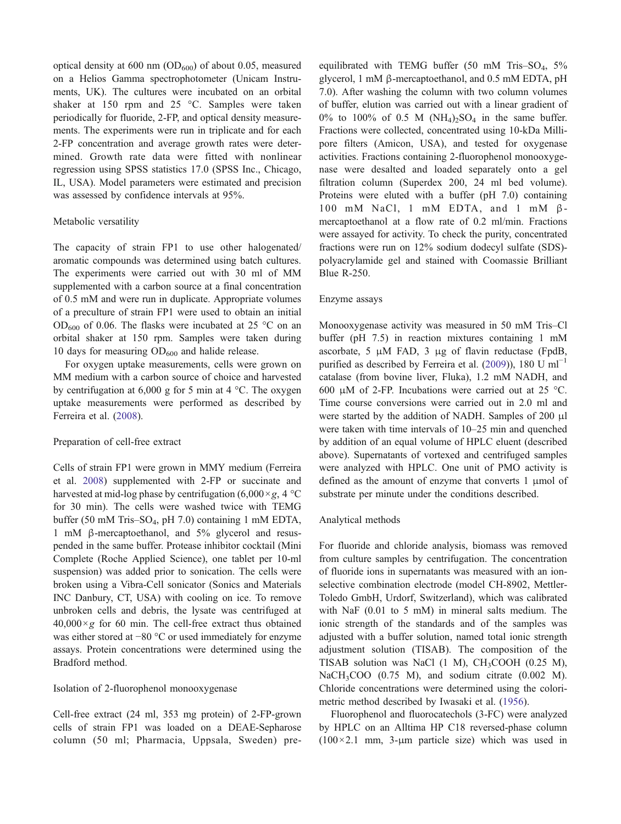optical density at 600 nm  $(OD_{600})$  of about 0.05, measured on a Helios Gamma spectrophotometer (Unicam Instruments, UK). The cultures were incubated on an orbital shaker at 150 rpm and 25 °C. Samples were taken periodically for fluoride, 2-FP, and optical density measurements. The experiments were run in triplicate and for each 2-FP concentration and average growth rates were determined. Growth rate data were fitted with nonlinear regression using SPSS statistics 17.0 (SPSS Inc., Chicago, IL, USA). Model parameters were estimated and precision was assessed by confidence intervals at 95%.

# Metabolic versatility

The capacity of strain FP1 to use other halogenated/ aromatic compounds was determined using batch cultures. The experiments were carried out with 30 ml of MM supplemented with a carbon source at a final concentration of 0.5 mM and were run in duplicate. Appropriate volumes of a preculture of strain FP1 were used to obtain an initial OD<sub>600</sub> of 0.06. The flasks were incubated at 25  $\degree$ C on an orbital shaker at 150 rpm. Samples were taken during 10 days for measuring  $OD_{600}$  and halide release.

For oxygen uptake measurements, cells were grown on MM medium with a carbon source of choice and harvested by centrifugation at  $6,000 \text{ g}$  for 5 min at 4 °C. The oxygen uptake measurements were performed as described by Ferreira et al. ([2008\)](#page-8-0).

# Preparation of cell-free extract

Cells of strain FP1 were grown in MMY medium (Ferreira et al. [2008](#page-8-0)) supplemented with 2-FP or succinate and harvested at mid-log phase by centrifugation  $(6,000 \times g, 4 \degree C)$ for 30 min). The cells were washed twice with TEMG buffer (50 mM Tris– $SO_4$ , pH 7.0) containing 1 mM EDTA, 1 mM β-mercaptoethanol, and 5% glycerol and resuspended in the same buffer. Protease inhibitor cocktail (Mini Complete (Roche Applied Science), one tablet per 10-ml suspension) was added prior to sonication. The cells were broken using a Vibra-Cell sonicator (Sonics and Materials INC Danbury, CT, USA) with cooling on ice. To remove unbroken cells and debris, the lysate was centrifuged at  $40,000 \times g$  for 60 min. The cell-free extract thus obtained was either stored at −80 °C or used immediately for enzyme assays. Protein concentrations were determined using the Bradford method.

# Isolation of 2-fluorophenol monooxygenase

Cell-free extract (24 ml, 353 mg protein) of 2-FP-grown cells of strain FP1 was loaded on a DEAE-Sepharose column (50 ml; Pharmacia, Uppsala, Sweden) preequilibrated with TEMG buffer  $(50 \text{ mM Tris-SO}_4, 5\%$ glycerol, 1 mM β-mercaptoethanol, and 0.5 mM EDTA, pH 7.0). After washing the column with two column volumes of buffer, elution was carried out with a linear gradient of  $0\%$  to  $100\%$  of 0.5 M (NH<sub>4</sub>)<sub>2</sub>SO<sub>4</sub> in the same buffer. Fractions were collected, concentrated using 10-kDa Millipore filters (Amicon, USA), and tested for oxygenase activities. Fractions containing 2-fluorophenol monooxygenase were desalted and loaded separately onto a gel filtration column (Superdex 200, 24 ml bed volume). Proteins were eluted with a buffer (pH 7.0) containing 100 mM NaCl, 1 mM EDTA, and 1 mM βmercaptoethanol at a flow rate of 0.2 ml/min. Fractions were assayed for activity. To check the purity, concentrated fractions were run on 12% sodium dodecyl sulfate (SDS) polyacrylamide gel and stained with Coomassie Brilliant Blue R-250.

#### Enzyme assays

Monooxygenase activity was measured in 50 mM Tris–Cl buffer (pH 7.5) in reaction mixtures containing 1 mM ascorbate, 5 μM FAD, 3 μg of flavin reductase (FpdB, purified as described by Ferreira et al. ([2009\)](#page-8-0)), 180 U ml<sup>-1</sup> catalase (from bovine liver, Fluka), 1.2 mM NADH, and 600 μM of 2-FP. Incubations were carried out at 25 °C. Time course conversions were carried out in 2.0 ml and were started by the addition of NADH. Samples of 200 μl were taken with time intervals of 10–25 min and quenched by addition of an equal volume of HPLC eluent (described above). Supernatants of vortexed and centrifuged samples were analyzed with HPLC. One unit of PMO activity is defined as the amount of enzyme that converts 1 μmol of substrate per minute under the conditions described.

#### Analytical methods

For fluoride and chloride analysis, biomass was removed from culture samples by centrifugation. The concentration of fluoride ions in supernatants was measured with an ionselective combination electrode (model CH-8902, Mettler-Toledo GmbH, Urdorf, Switzerland), which was calibrated with NaF (0.01 to 5 mM) in mineral salts medium. The ionic strength of the standards and of the samples was adjusted with a buffer solution, named total ionic strength adjustment solution (TISAB). The composition of the TISAB solution was NaCl  $(1 \text{ M})$ , CH<sub>3</sub>COOH  $(0.25 \text{ M})$ , NaCH<sub>3</sub>COO (0.75 M), and sodium citrate (0.002 M). Chloride concentrations were determined using the colorimetric method described by Iwasaki et al. [\(1956](#page-8-0)).

Fluorophenol and fluorocatechols (3-FC) were analyzed by HPLC on an Alltima HP C18 reversed-phase column ( $100 \times 2.1$  mm, 3-μm particle size) which was used in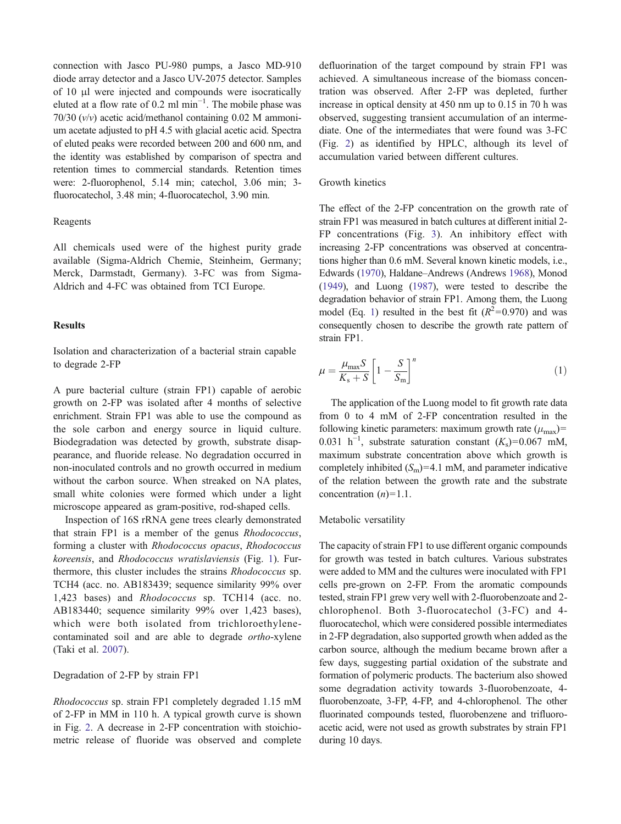connection with Jasco PU-980 pumps, a Jasco MD-910 diode array detector and a Jasco UV-2075 detector. Samples of 10 μl were injected and compounds were isocratically eluted at a flow rate of 0.2 ml  $min^{-1}$ . The mobile phase was 70/30 (v/v) acetic acid/methanol containing 0.02 M ammonium acetate adjusted to pH 4.5 with glacial acetic acid. Spectra of eluted peaks were recorded between 200 and 600 nm, and the identity was established by comparison of spectra and retention times to commercial standards. Retention times were: 2-fluorophenol, 5.14 min; catechol, 3.06 min; 3 fluorocatechol, 3.48 min; 4-fluorocatechol, 3.90 min.

# Reagents

All chemicals used were of the highest purity grade available (Sigma-Aldrich Chemie, Steinheim, Germany; Merck, Darmstadt, Germany). 3-FC was from Sigma-Aldrich and 4-FC was obtained from TCI Europe.

# Results

Isolation and characterization of a bacterial strain capable to degrade 2-FP

A pure bacterial culture (strain FP1) capable of aerobic growth on 2-FP was isolated after 4 months of selective enrichment. Strain FP1 was able to use the compound as the sole carbon and energy source in liquid culture. Biodegradation was detected by growth, substrate disappearance, and fluoride release. No degradation occurred in non-inoculated controls and no growth occurred in medium without the carbon source. When streaked on NA plates, small white colonies were formed which under a light microscope appeared as gram-positive, rod-shaped cells.

Inspection of 16S rRNA gene trees clearly demonstrated that strain FP1 is a member of the genus Rhodococcus, forming a cluster with Rhodococcus opacus, Rhodococcus koreensis, and Rhodococcus wratislaviensis (Fig. [1](#page-4-0)). Furthermore, this cluster includes the strains Rhodococcus sp. TCH4 (acc. no. AB183439; sequence similarity 99% over 1,423 bases) and Rhodococcus sp. TCH14 (acc. no. AB183440; sequence similarity 99% over 1,423 bases), which were both isolated from trichloroethylenecontaminated soil and are able to degrade ortho-xylene (Taki et al. [2007](#page-8-0)).

# Degradation of 2-FP by strain FP1

Rhodococcus sp. strain FP1 completely degraded 1.15 mM of 2-FP in MM in 110 h. A typical growth curve is shown in Fig. [2.](#page-5-0) A decrease in 2-FP concentration with stoichiometric release of fluoride was observed and complete defluorination of the target compound by strain FP1 was achieved. A simultaneous increase of the biomass concentration was observed. After 2-FP was depleted, further increase in optical density at 450 nm up to 0.15 in 70 h was observed, suggesting transient accumulation of an intermediate. One of the intermediates that were found was 3-FC (Fig. [2](#page-5-0)) as identified by HPLC, although its level of accumulation varied between different cultures.

# Growth kinetics

The effect of the 2-FP concentration on the growth rate of strain FP1 was measured in batch cultures at different initial 2- FP concentrations (Fig. [3\)](#page-5-0). An inhibitory effect with increasing 2-FP concentrations was observed at concentrations higher than 0.6 mM. Several known kinetic models, i.e., Edwards ([1970](#page-7-0)), Haldane–Andrews (Andrews [1968\)](#page-7-0), Monod [\(1949\)](#page-8-0), and Luong ([1987](#page-8-0)), were tested to describe the degradation behavior of strain FP1. Among them, the Luong model (Eq. 1) resulted in the best fit  $(R^2=0.970)$  and was consequently chosen to describe the growth rate pattern of strain FP1.

$$
\mu = \frac{\mu_{\text{max}} S}{K_s + S} \left[ 1 - \frac{S}{S_m} \right]^n \tag{1}
$$

The application of the Luong model to fit growth rate data from 0 to 4 mM of 2-FP concentration resulted in the following kinetic parameters: maximum growth rate  $(\mu_{\text{max}})$ = 0.031 h<sup>-1</sup>, substrate saturation constant  $(K_s)$ =0.067 mM, maximum substrate concentration above which growth is completely inhibited  $(S_m) = 4.1$  mM, and parameter indicative of the relation between the growth rate and the substrate concentration  $(n)=1.1$ .

## Metabolic versatility

The capacity of strain FP1 to use different organic compounds for growth was tested in batch cultures. Various substrates were added to MM and the cultures were inoculated with FP1 cells pre-grown on 2-FP. From the aromatic compounds tested, strain FP1 grew very well with 2-fluorobenzoate and 2 chlorophenol. Both 3-fluorocatechol (3-FC) and 4 fluorocatechol, which were considered possible intermediates in 2-FP degradation, also supported growth when added as the carbon source, although the medium became brown after a few days, suggesting partial oxidation of the substrate and formation of polymeric products. The bacterium also showed some degradation activity towards 3-fluorobenzoate, 4 fluorobenzoate, 3-FP, 4-FP, and 4-chlorophenol. The other fluorinated compounds tested, fluorobenzene and trifluoroacetic acid, were not used as growth substrates by strain FP1 during 10 days.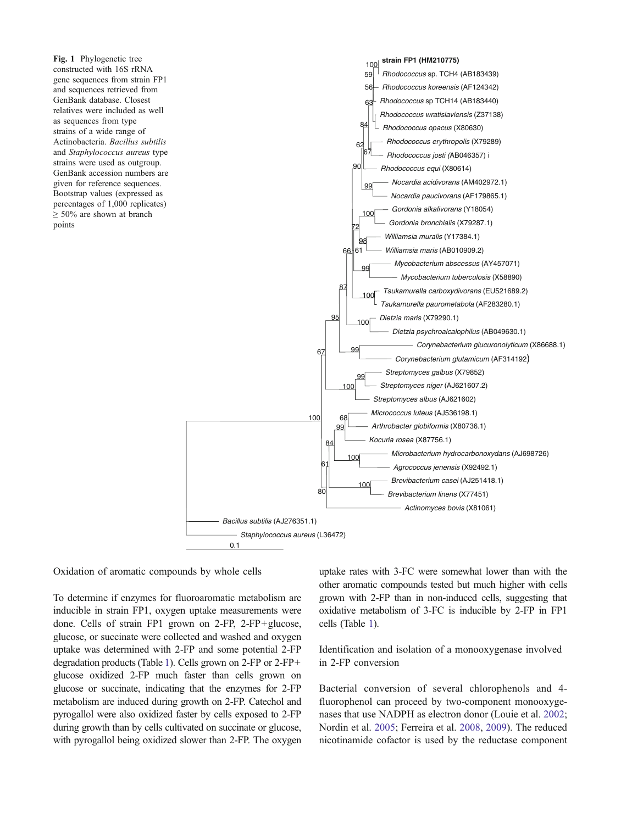<span id="page-4-0"></span>Fig. 1 Phylogenetic tree constructed with 16S rRNA gene sequences from strain FP1 and sequences retrieved from GenBank database. Closest relatives were included as well as sequences from type strains of a wide range of Actinobacteria. Bacillus subtilis and Staphylococcus aureus type strains were used as outgroup. GenBank accession numbers are given for reference sequences. Bootstrap values (expressed as percentages of 1,000 replicates)  $\geq$  50% are shown at branch points



Oxidation of aromatic compounds by whole cells

To determine if enzymes for fluoroaromatic metabolism are inducible in strain FP1, oxygen uptake measurements were done. Cells of strain FP1 grown on 2-FP, 2-FP+glucose, glucose, or succinate were collected and washed and oxygen uptake was determined with 2-FP and some potential 2-FP degradation products (Table [1\)](#page-5-0). Cells grown on 2-FP or 2-FP+ glucose oxidized 2-FP much faster than cells grown on glucose or succinate, indicating that the enzymes for 2-FP metabolism are induced during growth on 2-FP. Catechol and pyrogallol were also oxidized faster by cells exposed to 2-FP during growth than by cells cultivated on succinate or glucose, with pyrogallol being oxidized slower than 2-FP. The oxygen uptake rates with 3-FC were somewhat lower than with the other aromatic compounds tested but much higher with cells grown with 2-FP than in non-induced cells, suggesting that oxidative metabolism of 3-FC is inducible by 2-FP in FP1 cells (Table [1](#page-5-0)).

Identification and isolation of a monooxygenase involved in 2-FP conversion

Bacterial conversion of several chlorophenols and 4 fluorophenol can proceed by two-component monooxygenases that use NADPH as electron donor (Louie et al. [2002;](#page-8-0) Nordin et al. [2005](#page-8-0); Ferreira et al. [2008,](#page-8-0) [2009](#page-8-0)). The reduced nicotinamide cofactor is used by the reductase component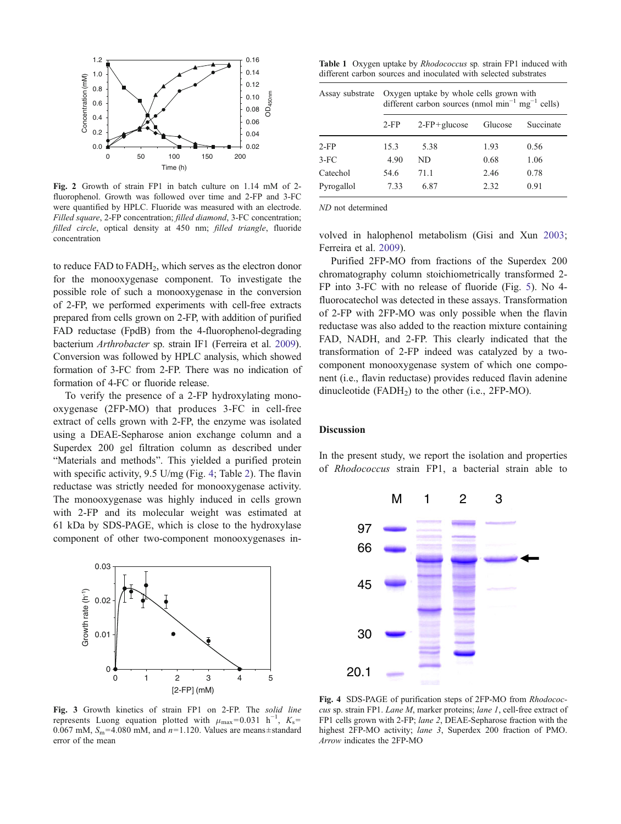<span id="page-5-0"></span>

Fig. 2 Growth of strain FP1 in batch culture on 1.14 mM of 2 fluorophenol. Growth was followed over time and 2-FP and 3-FC were quantified by HPLC. Fluoride was measured with an electrode. Filled square, 2-FP concentration; filled diamond, 3-FC concentration; filled circle, optical density at 450 nm; filled triangle, fluoride concentration

to reduce FAD to FADH<sub>2</sub>, which serves as the electron donor for the monooxygenase component. To investigate the possible role of such a monooxygenase in the conversion of 2-FP, we performed experiments with cell-free extracts prepared from cells grown on 2-FP, with addition of purified FAD reductase (FpdB) from the 4-fluorophenol-degrading bacterium Arthrobacter sp. strain IF1 (Ferreira et al. [2009\)](#page-8-0). Conversion was followed by HPLC analysis, which showed formation of 3-FC from 2-FP. There was no indication of formation of 4-FC or fluoride release.

To verify the presence of a 2-FP hydroxylating monooxygenase (2FP-MO) that produces 3-FC in cell-free extract of cells grown with 2-FP, the enzyme was isolated using a DEAE-Sepharose anion exchange column and a Superdex 200 gel filtration column as described under "Materials and methods". This yielded a purified protein with specific activity, 9.5 U/mg (Fig. 4; Table [2\)](#page-6-0). The flavin reductase was strictly needed for monooxygenase activity. The monooxygenase was highly induced in cells grown with 2-FP and its molecular weight was estimated at 61 kDa by SDS-PAGE, which is close to the hydroxylase component of other two-component monooxygenases in-



Fig. 3 Growth kinetics of strain FP1 on 2-FP. The solid line represents Luong equation plotted with  $\mu_{\text{max}}$ =0.031 h<sup>-1</sup>, K<sub>s</sub>= 0.067 mM,  $S_m$ =4.080 mM, and  $n=1.120$ . Values are means $\pm$ standard error of the mean

Table 1 Oxygen uptake by *Rhodococcus* sp. strain FP1 induced with different carbon sources and inoculated with selected substrates

| Assay substrate | Oxygen uptake by whole cells grown with<br>different carbon sources (nmol $\text{min}^{-1} \text{ mg}^{-1}$ cells) |                 |         |           |  |  |
|-----------------|--------------------------------------------------------------------------------------------------------------------|-----------------|---------|-----------|--|--|
|                 | $2-FP$                                                                                                             | $2$ -FP+glucose | Glucose | Succinate |  |  |
| $2-FP$          | 15.3                                                                                                               | 5.38            | 1.93    | 0.56      |  |  |
| $3-FC$          | 4.90                                                                                                               | ND              | 0.68    | 1.06      |  |  |
| Catechol        | 54.6                                                                                                               | 71.1            | 2.46    | 0.78      |  |  |
| Pyrogallol      | 7.33                                                                                                               | 6.87            | 2.32    | 0.91      |  |  |

ND not determined

volved in halophenol metabolism (Gisi and Xun [2003;](#page-8-0) Ferreira et al. [2009\)](#page-8-0).

Purified 2FP-MO from fractions of the Superdex 200 chromatography column stoichiometrically transformed 2- FP into 3-FC with no release of fluoride (Fig. [5\)](#page-6-0). No 4 fluorocatechol was detected in these assays. Transformation of 2-FP with 2FP-MO was only possible when the flavin reductase was also added to the reaction mixture containing FAD, NADH, and 2-FP. This clearly indicated that the transformation of 2-FP indeed was catalyzed by a twocomponent monooxygenase system of which one component (i.e., flavin reductase) provides reduced flavin adenine dinucleotide  $(FADH<sub>2</sub>)$  to the other (i.e., 2FP-MO).

#### Discussion

In the present study, we report the isolation and properties of Rhodococcus strain FP1, a bacterial strain able to



Fig. 4 SDS-PAGE of purification steps of 2FP-MO from Rhodococcus sp. strain FP1. Lane M, marker proteins; lane 1, cell-free extract of FP1 cells grown with 2-FP; lane 2, DEAE-Sepharose fraction with the highest 2FP-MO activity; lane 3, Superdex 200 fraction of PMO. Arrow indicates the 2FP-MO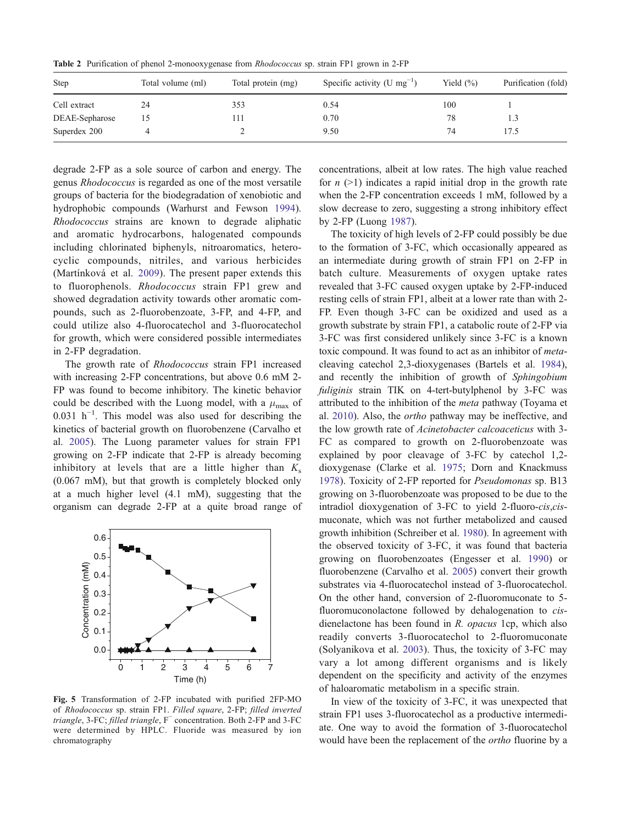<span id="page-6-0"></span>Table 2 Purification of phenol 2-monooxygenase from *Rhodococcus* sp. strain FP1 grown in 2-FP

| Step           | Total volume (ml) | Total protein (mg) | Specific activity (U mg <sup>-1</sup> ) | Yield $(\% )$ | Purification (fold) |
|----------------|-------------------|--------------------|-----------------------------------------|---------------|---------------------|
| Cell extract   | 24                | 353                | 0.54                                    | 100           |                     |
| DEAE-Sepharose |                   | 111                | 0.70                                    | 78            |                     |
| Superdex 200   |                   |                    | 9.50                                    | 74            | 17.5                |

degrade 2-FP as a sole source of carbon and energy. The genus Rhodococcus is regarded as one of the most versatile groups of bacteria for the biodegradation of xenobiotic and hydrophobic compounds (Warhurst and Fewson [1994](#page-9-0)). Rhodococcus strains are known to degrade aliphatic and aromatic hydrocarbons, halogenated compounds including chlorinated biphenyls, nitroaromatics, heterocyclic compounds, nitriles, and various herbicides (Martínková et al. [2009](#page-8-0)). The present paper extends this to fluorophenols. Rhodococcus strain FP1 grew and showed degradation activity towards other aromatic compounds, such as 2-fluorobenzoate, 3-FP, and 4-FP, and could utilize also 4-fluorocatechol and 3-fluorocatechol for growth, which were considered possible intermediates in 2-FP degradation.

The growth rate of Rhodococcus strain FP1 increased with increasing 2-FP concentrations, but above 0.6 mM 2- FP was found to become inhibitory. The kinetic behavior could be described with the Luong model, with a  $\mu_{\text{max}}$  of 0.031  $h^{-1}$ . This model was also used for describing the kinetics of bacterial growth on fluorobenzene (Carvalho et al. [2005\)](#page-7-0). The Luong parameter values for strain FP1 growing on 2-FP indicate that 2-FP is already becoming inhibitory at levels that are a little higher than  $K_s$ (0.067 mM), but that growth is completely blocked only at a much higher level (4.1 mM), suggesting that the organism can degrade 2-FP at a quite broad range of



Fig. 5 Transformation of 2-FP incubated with purified 2FP-MO of Rhodococcus sp. strain FP1. Filled square, 2-FP; filled inverted triangle, 3-FC; filled triangle, F<sup>−</sup> concentration. Both 2-FP and 3-FC were determined by HPLC. Fluoride was measured by ion chromatography

concentrations, albeit at low rates. The high value reached for  $n$  ( $>1$ ) indicates a rapid initial drop in the growth rate when the 2-FP concentration exceeds 1 mM, followed by a slow decrease to zero, suggesting a strong inhibitory effect by 2-FP (Luong [1987](#page-8-0)).

The toxicity of high levels of 2-FP could possibly be due to the formation of 3-FC, which occasionally appeared as an intermediate during growth of strain FP1 on 2-FP in batch culture. Measurements of oxygen uptake rates revealed that 3-FC caused oxygen uptake by 2-FP-induced resting cells of strain FP1, albeit at a lower rate than with 2- FP. Even though 3-FC can be oxidized and used as a growth substrate by strain FP1, a catabolic route of 2-FP via 3-FC was first considered unlikely since 3-FC is a known toxic compound. It was found to act as an inhibitor of metacleaving catechol 2,3-dioxygenases (Bartels et al. [1984\)](#page-7-0), and recently the inhibition of growth of Sphingobium fuliginis strain TIK on 4-tert-butylphenol by 3-FC was attributed to the inhibition of the meta pathway (Toyama et al. [2010\)](#page-9-0). Also, the ortho pathway may be ineffective, and the low growth rate of Acinetobacter calcoaceticus with 3- FC as compared to growth on 2-fluorobenzoate was explained by poor cleavage of 3-FC by catechol 1,2 dioxygenase (Clarke et al. [1975;](#page-7-0) Dorn and Knackmuss [1978](#page-7-0)). Toxicity of 2-FP reported for Pseudomonas sp. B13 growing on 3-fluorobenzoate was proposed to be due to the intradiol dioxygenation of 3-FC to yield 2-fluoro-cis,cismuconate, which was not further metabolized and caused growth inhibition (Schreiber et al. [1980\)](#page-8-0). In agreement with the observed toxicity of 3-FC, it was found that bacteria growing on fluorobenzoates (Engesser et al. [1990](#page-8-0)) or fluorobenzene (Carvalho et al. [2005](#page-7-0)) convert their growth substrates via 4-fluorocatechol instead of 3-fluorocatechol. On the other hand, conversion of 2-fluoromuconate to 5 fluoromuconolactone followed by dehalogenation to cisdienelactone has been found in R. opacus 1cp, which also readily converts 3-fluorocatechol to 2-fluoromuconate (Solyanikova et al. [2003](#page-8-0)). Thus, the toxicity of 3-FC may vary a lot among different organisms and is likely dependent on the specificity and activity of the enzymes of haloaromatic metabolism in a specific strain.

In view of the toxicity of 3-FC, it was unexpected that strain FP1 uses 3-fluorocatechol as a productive intermediate. One way to avoid the formation of 3-fluorocatechol would have been the replacement of the ortho fluorine by a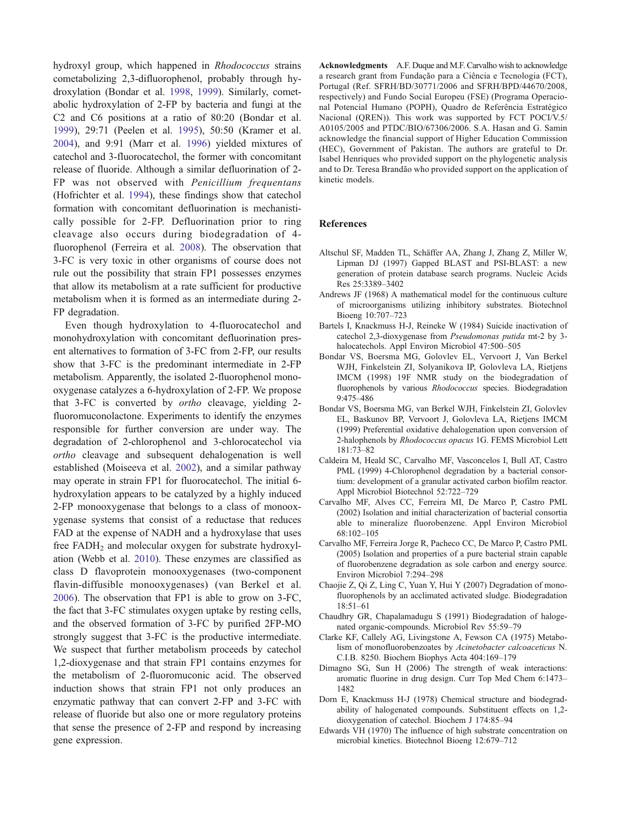<span id="page-7-0"></span>hydroxyl group, which happened in Rhodococcus strains cometabolizing 2,3-difluorophenol, probably through hydroxylation (Bondar et al. 1998, 1999). Similarly, cometabolic hydroxylation of 2-FP by bacteria and fungi at the C2 and C6 positions at a ratio of 80:20 (Bondar et al. 1999), 29:71 (Peelen et al. [1995\)](#page-8-0), 50:50 (Kramer et al. [2004\)](#page-8-0), and 9:91 (Marr et al. [1996\)](#page-8-0) yielded mixtures of catechol and 3-fluorocatechol, the former with concomitant release of fluoride. Although a similar defluorination of 2- FP was not observed with Penicillium frequentans (Hofrichter et al. [1994](#page-8-0)), these findings show that catechol formation with concomitant defluorination is mechanistically possible for 2-FP. Defluorination prior to ring cleavage also occurs during biodegradation of 4 fluorophenol (Ferreira et al. [2008](#page-8-0)). The observation that 3-FC is very toxic in other organisms of course does not rule out the possibility that strain FP1 possesses enzymes that allow its metabolism at a rate sufficient for productive metabolism when it is formed as an intermediate during 2- FP degradation.

Even though hydroxylation to 4-fluorocatechol and monohydroxylation with concomitant defluorination present alternatives to formation of 3-FC from 2-FP, our results show that 3-FC is the predominant intermediate in 2-FP metabolism. Apparently, the isolated 2-fluorophenol monooxygenase catalyzes a 6-hydroxylation of 2-FP. We propose that 3-FC is converted by ortho cleavage, yielding 2 fluoromuconolactone. Experiments to identify the enzymes responsible for further conversion are under way. The degradation of 2-chlorophenol and 3-chlorocatechol via ortho cleavage and subsequent dehalogenation is well established (Moiseeva et al. [2002\)](#page-8-0), and a similar pathway may operate in strain FP1 for fluorocatechol. The initial 6 hydroxylation appears to be catalyzed by a highly induced 2-FP monooxygenase that belongs to a class of monooxygenase systems that consist of a reductase that reduces FAD at the expense of NADH and a hydroxylase that uses free FADH<sub>2</sub> and molecular oxygen for substrate hydroxylation (Webb et al. [2010\)](#page-9-0). These enzymes are classified as class D flavoprotein monooxygenases (two-component flavin-diffusible monooxygenases) (van Berkel et al. [2006\)](#page-9-0). The observation that FP1 is able to grow on 3-FC, the fact that 3-FC stimulates oxygen uptake by resting cells, and the observed formation of 3-FC by purified 2FP-MO strongly suggest that 3-FC is the productive intermediate. We suspect that further metabolism proceeds by catechol 1,2-dioxygenase and that strain FP1 contains enzymes for the metabolism of 2-fluoromuconic acid. The observed induction shows that strain FP1 not only produces an enzymatic pathway that can convert 2-FP and 3-FC with release of fluoride but also one or more regulatory proteins that sense the presence of 2-FP and respond by increasing gene expression.

Acknowledgments A.F. Duque and M.F. Carvalho wish to acknowledge a research grant from Fundação para a Ciência e Tecnologia (FCT), Portugal (Ref. SFRH/BD/30771/2006 and SFRH/BPD/44670/2008, respectively) and Fundo Social Europeu (FSE) (Programa Operacional Potencial Humano (POPH), Quadro de Referência Estratégico Nacional (QREN)). This work was supported by FCT POCI/V.5/ A0105/2005 and PTDC/BIO/67306/2006. S.A. Hasan and G. Samin acknowledge the financial support of Higher Education Commission (HEC), Government of Pakistan. The authors are grateful to Dr. Isabel Henriques who provided support on the phylogenetic analysis and to Dr. Teresa Brandão who provided support on the application of kinetic models.

## References

- Altschul SF, Madden TL, Schäffer AA, Zhang J, Zhang Z, Miller W, Lipman DJ (1997) Gapped BLAST and PSI-BLAST: a new generation of protein database search programs. Nucleic Acids Res 25:3389–3402
- Andrews JF (1968) A mathematical model for the continuous culture of microorganisms utilizing inhibitory substrates. Biotechnol Bioeng 10:707–723
- Bartels I, Knackmuss H-J, Reineke W (1984) Suicide inactivation of catechol 2,3-dioxygenase from Pseudomonas putida mt-2 by 3 halocatechols. Appl Environ Microbiol 47:500–505
- Bondar VS, Boersma MG, Golovlev EL, Vervoort J, Van Berkel WJH, Finkelstein ZI, Solyanikova IP, Golovleva LA, Rietjens IMCM (1998) 19F NMR study on the biodegradation of fluorophenols by various Rhodococcus species. Biodegradation 9:475–486
- Bondar VS, Boersma MG, van Berkel WJH, Finkelstein ZI, Golovlev EL, Baskunov BP, Vervoort J, Golovleva LA, Rietjens IMCM (1999) Preferential oxidative dehalogenation upon conversion of 2-halophenols by Rhodococcus opacus 1G. FEMS Microbiol Lett 181:73–82
- Caldeira M, Heald SC, Carvalho MF, Vasconcelos I, Bull AT, Castro PML (1999) 4-Chlorophenol degradation by a bacterial consortium: development of a granular activated carbon biofilm reactor. Appl Microbiol Biotechnol 52:722–729
- Carvalho MF, Alves CC, Ferreira MI, De Marco P, Castro PML (2002) Isolation and initial characterization of bacterial consortia able to mineralize fluorobenzene. Appl Environ Microbiol 68:102–105
- Carvalho MF, Ferreira Jorge R, Pacheco CC, De Marco P, Castro PML (2005) Isolation and properties of a pure bacterial strain capable of fluorobenzene degradation as sole carbon and energy source. Environ Microbiol 7:294–298
- Chaojie Z, Qi Z, Ling C, Yuan Y, Hui Y (2007) Degradation of monofluorophenols by an acclimated activated sludge. Biodegradation 18:51–61
- Chaudhry GR, Chapalamadugu S (1991) Biodegradation of halogenated organic-compounds. Microbiol Rev 55:59–79
- Clarke KF, Callely AG, Livingstone A, Fewson CA (1975) Metabolism of monofluorobenzoates by Acinetobacter calcoaceticus N. C.I.B. 8250. Biochem Biophys Acta 404:169–179
- Dimagno SG, Sun H (2006) The strength of weak interactions: aromatic fluorine in drug design. Curr Top Med Chem 6:1473– 1482
- Dorn E, Knackmuss H-J (1978) Chemical structure and biodegradability of halogenated compounds. Substituent effects on 1,2 dioxygenation of catechol. Biochem J 174:85–94
- Edwards VH (1970) The influence of high substrate concentration on microbial kinetics. Biotechnol Bioeng 12:679–712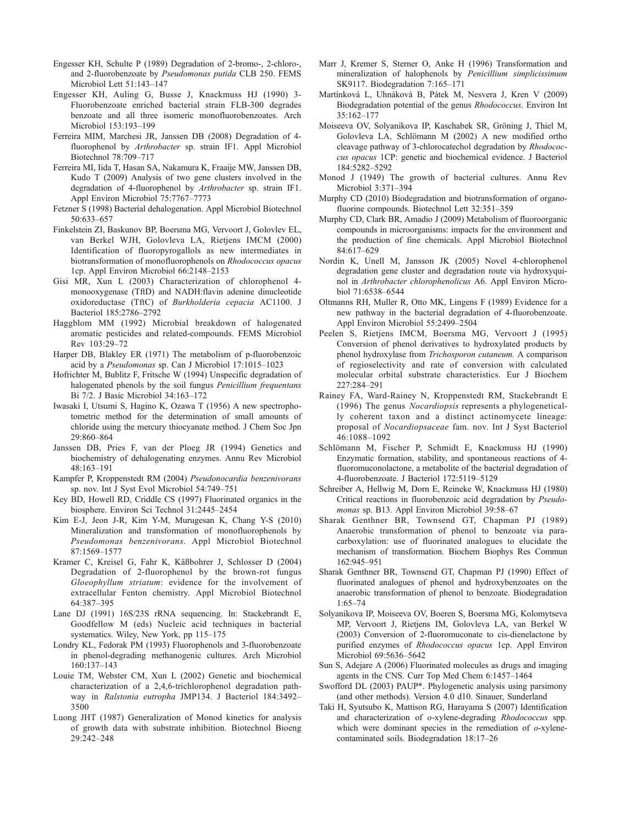- <span id="page-8-0"></span>Engesser KH, Schulte P (1989) Degradation of 2-bromo-, 2-chloro-, and 2-fluorobenzoate by Pseudomonas putida CLB 250. FEMS Microbiol Lett 51:143–147
- Engesser KH, Auling G, Busse J, Knackmuss HJ (1990) 3- Fluorobenzoate enriched bacterial strain FLB-300 degrades benzoate and all three isomeric monofluorobenzoates. Arch Microbiol 153:193–199
- Ferreira MIM, Marchesi JR, Janssen DB (2008) Degradation of 4 fluorophenol by Arthrobacter sp. strain IF1. Appl Microbiol Biotechnol 78:709–717
- Ferreira MI, Iida T, Hasan SA, Nakamura K, Fraaije MW, Janssen DB, Kudo T (2009) Analysis of two gene clusters involved in the degradation of 4-fluorophenol by Arthrobacter sp. strain IF1. Appl Environ Microbiol 75:7767–7773
- Fetzner S (1998) Bacterial dehalogenation. Appl Microbiol Biotechnol 50:633–657
- Finkelstein ZI, Baskunov BP, Boersma MG, Vervoort J, Golovlev EL, van Berkel WJH, Golovleva LA, Rietjens IMCM (2000) Identification of fluoropyrogallols as new intermediates in biotransformation of monofluorophenols on Rhodococcus opacus 1cp. Appl Environ Microbiol 66:2148–2153
- Gisi MR, Xun L (2003) Characterization of chlorophenol 4 monooxygenase (TftD) and NADH:flavin adenine dinucleotide oxidoreductase (TftC) of Burkholderia cepacia AC1100. J Bacteriol 185:2786–2792
- Haggblom MM (1992) Microbial breakdown of halogenated aromatic pesticides and related-compounds. FEMS Microbiol Rev 103:29–72
- Harper DB, Blakley ER (1971) The metabolism of p-fluorobenzoic acid by a Pseudomonas sp. Can J Microbiol 17:1015–1023
- Hofrichter M, Bublitz F, Fritsche W (1994) Unspecific degradation of halogenated phenols by the soil fungus Penicillium frequentans Bi 7/2. J Basic Microbiol 34:163–172
- Iwasaki I, Utsumi S, Hagino K, Ozawa T (1956) A new spectrophotometric method for the determination of small amounts of chloride using the mercury thiocyanate method. J Chem Soc Jpn 29:860–864
- Janssen DB, Pries F, van der Ploeg JR (1994) Genetics and biochemistry of dehalogenating enzymes. Annu Rev Microbiol 48:163–191
- Kampfer P, Kroppenstedt RM (2004) Pseudonocardia benzenivorans sp. nov. Int J Syst Evol Microbiol 54:749–751
- Key BD, Howell RD, Criddle CS (1997) Fluorinated organics in the biosphere. Environ Sci Technol 31:2445–2454
- Kim E-J, Jeon J-R, Kim Y-M, Murugesan K, Chang Y-S (2010) Mineralization and transformation of monofluorophenols by Pseudomonas benzenivorans. Appl Microbiol Biotechnol 87:1569–1577
- Kramer C, Kreisel G, Fahr K, Käßbohrer J, Schlosser D (2004) Degradation of 2-fluorophenol by the brown-rot fungus Gloeophyllum striatum: evidence for the involvement of extracellular Fenton chemistry. Appl Microbiol Biotechnol 64:387–395
- Lane DJ (1991) 16S/23S rRNA sequencing. In: Stackebrandt E, Goodfellow M (eds) Nucleic acid techniques in bacterial systematics. Wiley, New York, pp 115–175
- Londry KL, Fedorak PM (1993) Fluorophenols and 3-fluorobenzoate in phenol-degrading methanogenic cultures. Arch Microbiol 160:137–143
- Louie TM, Webster CM, Xun L (2002) Genetic and biochemical characterization of a 2,4,6-trichlorophenol degradation pathway in Ralstonia eutropha JMP134. J Bacteriol 184:3492– 3500
- Luong JHT (1987) Generalization of Monod kinetics for analysis of growth data with substrate inhibition. Biotechnol Bioeng 29:242–248
- Marr J, Kremer S, Sterner O, Anke H (1996) Transformation and mineralization of halophenols by Penicillium simplicissimum SK9117. Biodegradation 7:165–171
- Martínková L, Uhnáková B, Pátek M, Nesvera J, Kren V (2009) Biodegradation potential of the genus Rhodococcus. Environ Int 35:162–177
- Moiseeva OV, Solyanikova IP, Kaschabek SR, Gröning J, Thiel M, Golovleva LA, Schlömann M (2002) A new modified ortho cleavage pathway of 3-chlorocatechol degradation by Rhodococcus opacus 1CP: genetic and biochemical evidence. J Bacteriol 184:5282–5292
- Monod J (1949) The growth of bacterial cultures. Annu Rev Microbiol 3:371–394
- Murphy CD (2010) Biodegradation and biotransformation of organofluorine compounds. Biotechnol Lett 32:351–359
- Murphy CD, Clark BR, Amadio J (2009) Metabolism of fluoroorganic compounds in microorganisms: impacts for the environment and the production of fine chemicals. Appl Microbiol Biotechnol 84:617–629
- Nordin K, Unell M, Jansson JK (2005) Novel 4-chlorophenol degradation gene cluster and degradation route via hydroxyquinol in Arthrobacter chlorophenolicus A6. Appl Environ Microbiol 71:6538–6544
- Oltmanns RH, Muller R, Otto MK, Lingens F (1989) Evidence for a new pathway in the bacterial degradation of 4-fluorobenzoate. Appl Environ Microbiol 55:2499–2504
- Peelen S, Rietjens IMCM, Boersma MG, Vervoort J (1995) Conversion of phenol derivatives to hydroxylated products by phenol hydroxylase from Trichosporon cutaneum. A comparison of regioselectivity and rate of conversion with calculated molecular orbital substrate characteristics. Eur J Biochem 227:284–291
- Rainey FA, Ward-Rainey N, Kroppenstedt RM, Stackebrandt E (1996) The genus Nocardiopsis represents a phylogenetically coherent taxon and a distinct actinomycete lineage: proposal of Nocardiopsaceae fam. nov. Int J Syst Bacteriol 46:1088–1092
- Schlömann M, Fischer P, Schmidt E, Knackmuss HJ (1990) Enzymatic formation, stability, and spontaneous reactions of 4 fluoromuconolactone, a metabolite of the bacterial degradation of 4-fluorobenzoate. J Bacteriol 172:5119–5129
- Schreiber A, Hellwig M, Dorn E, Reineke W, Knackmuss HJ (1980) Critical reactions in fluorobenzoic acid degradation by Pseudomonas sp. B13. Appl Environ Microbiol 39:58–67
- Sharak Genthner BR, Townsend GT, Chapman PJ (1989) Anaerobic transformation of phenol to benzoate via paracarboxylation: use of fluorinated analogues to elucidate the mechanism of transformation. Biochem Biophys Res Commun 162:945–951
- Sharak Genthner BR, Townsend GT, Chapman PJ (1990) Effect of fluorinated analogues of phenol and hydroxybenzoates on the anaerobic transformation of phenol to benzoate. Biodegradation 1:65–74
- Solyanikova IP, Moiseeva OV, Boeren S, Boersma MG, Kolomytseva MP, Vervoort J, Rietjens IM, Golovleva LA, van Berkel W (2003) Conversion of 2-fluoromuconate to cis-dienelactone by purified enzymes of Rhodococcus opacus 1cp. Appl Environ Microbiol 69:5636–5642
- Sun S, Adejare A (2006) Fluorinated molecules as drugs and imaging agents in the CNS. Curr Top Med Chem 6:1457–1464
- Swofford DL (2003) PAUP\*. Phylogenetic analysis using parsimony (and other methods). Version 4.0 d10. Sinauer, Sunderland
- Taki H, Syutsubo K, Mattison RG, Harayama S (2007) Identification and characterization of o-xylene-degrading Rhodococcus spp. which were dominant species in the remediation of  $o$ -xylenecontaminated soils. Biodegradation 18:17–26